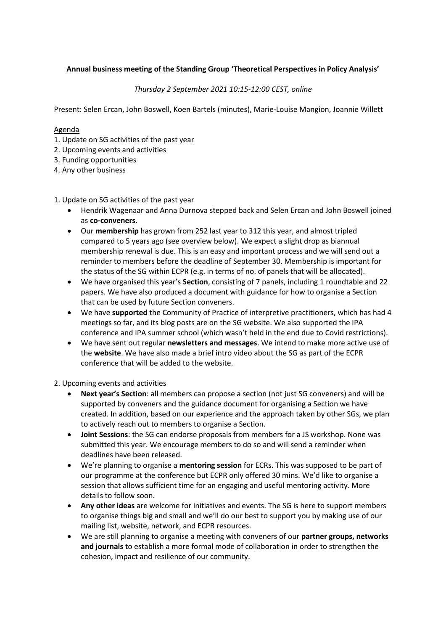# **Annual business meeting of the Standing Group 'Theoretical Perspectives in Policy Analysis'**

## *Thursday 2 September 2021 10:15-12:00 CEST, online*

Present: Selen Ercan, John Boswell, Koen Bartels (minutes), Marie-Louise Mangion, Joannie Willett

### Agenda

- 1. Update on SG activities of the past year
- 2. Upcoming events and activities
- 3. Funding opportunities
- 4. Any other business

#### 1. Update on SG activities of the past year

- Hendrik Wagenaar and Anna Durnova stepped back and Selen Ercan and John Boswell joined as **co-conveners**.
- Our **membership** has grown from 252 last year to 312 this year, and almost tripled compared to 5 years ago (see overview below). We expect a slight drop as biannual membership renewal is due. This is an easy and important process and we will send out a reminder to members before the deadline of September 30. Membership is important for the status of the SG within ECPR (e.g. in terms of no. of panels that will be allocated).
- We have organised this year's **Section**, consisting of 7 panels, including 1 roundtable and 22 papers. We have also produced a document with guidance for how to organise a Section that can be used by future Section conveners.
- We have **supported** the Community of Practice of interpretive practitioners, which has had 4 meetings so far, and its blog posts are on the SG website. We also supported the IPA conference and IPA summer school (which wasn't held in the end due to Covid restrictions).
- We have sent out regular **newsletters and messages**. We intend to make more active use of the **website**. We have also made a brief intro video about the SG as part of the ECPR conference that will be added to the website.

2. Upcoming events and activities

- **Next year's Section**: all members can propose a section (not just SG conveners) and will be supported by conveners and the guidance document for organising a Section we have created. In addition, based on our experience and the approach taken by other SGs, we plan to actively reach out to members to organise a Section.
- **Joint Sessions**: the SG can endorse proposals from members for a JS workshop. None was submitted this year. We encourage members to do so and will send a reminder when deadlines have been released.
- We're planning to organise a **mentoring session** for ECRs. This was supposed to be part of our programme at the conference but ECPR only offered 30 mins. We'd like to organise a session that allows sufficient time for an engaging and useful mentoring activity. More details to follow soon.
- **Any other ideas** are welcome for initiatives and events. The SG is here to support members to organise things big and small and we'll do our best to support you by making use of our mailing list, website, network, and ECPR resources.
- We are still planning to organise a meeting with conveners of our **partner groups, networks and journals** to establish a more formal mode of collaboration in order to strengthen the cohesion, impact and resilience of our community.